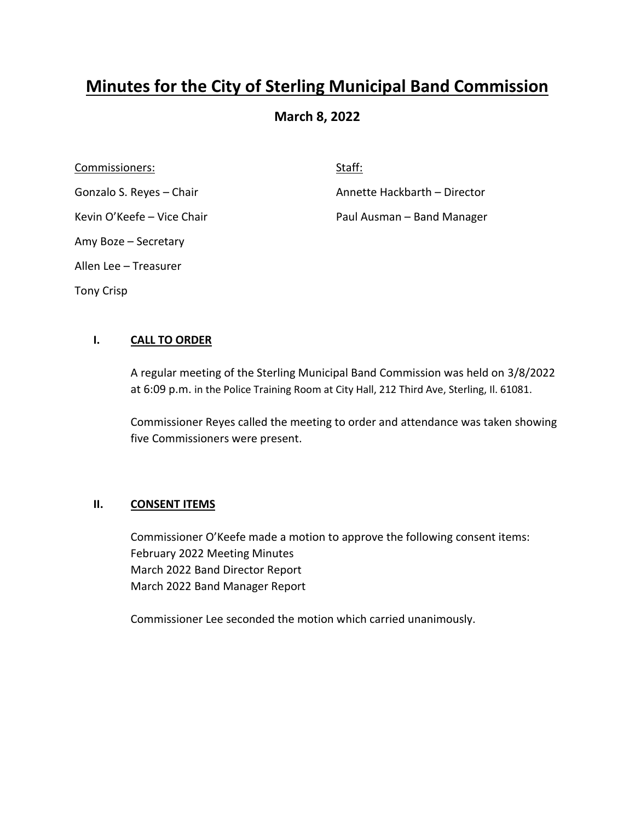# **Minutes for the City of Sterling Municipal Band Commission**

## **March 8, 2022**

Commissioners: Staff: Staff: Staff: Staff: Staff: Staff: Staff: Staff: Staff: Staff: Staff: Staff: Staff: Staff: Staff: Staff: Staff: Staff: Staff: Staff: Staff: Staff: Staff: Staff: Staff: Staff: Staff: Staff: Staff: Staf Amy Boze – Secretary Allen Lee – Treasurer Tony Crisp

Gonzalo S. Reyes – Chair **Annette Hackbarth – Director** 

Kevin O'Keefe – Vice Chair **Paul Ausman – Band Manager** 

### **I. CALL TO ORDER**

A regular meeting of the Sterling Municipal Band Commission was held on 3/8/2022 at 6:09 p.m. in the Police Training Room at City Hall, 212 Third Ave, Sterling, Il. 61081.

Commissioner Reyes called the meeting to order and attendance was taken showing five Commissioners were present.

#### **II. CONSENT ITEMS**

Commissioner O'Keefe made a motion to approve the following consent items: February 2022 Meeting Minutes March 2022 Band Director Report March 2022 Band Manager Report

Commissioner Lee seconded the motion which carried unanimously.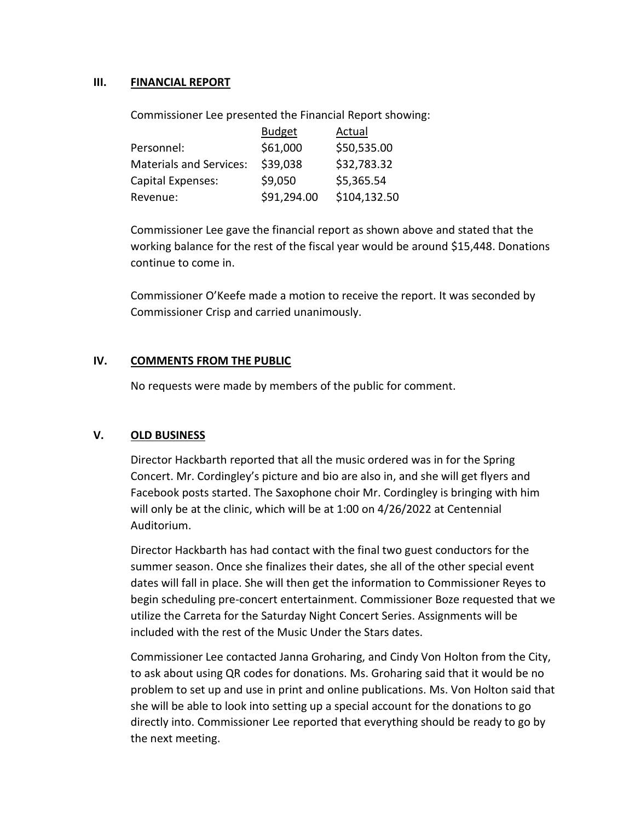#### **III. FINANCIAL REPORT**

Commissioner Lee presented the Financial Report showing:

|                                | <b>Budget</b> | Actual       |
|--------------------------------|---------------|--------------|
| Personnel:                     | \$61,000      | \$50,535.00  |
| <b>Materials and Services:</b> | \$39,038      | \$32,783.32  |
| Capital Expenses:              | \$9,050       | \$5,365.54   |
| Revenue:                       | \$91,294.00   | \$104,132.50 |

Commissioner Lee gave the financial report as shown above and stated that the working balance for the rest of the fiscal year would be around \$15,448. Donations continue to come in.

Commissioner O'Keefe made a motion to receive the report. It was seconded by Commissioner Crisp and carried unanimously.

#### **IV. COMMENTS FROM THE PUBLIC**

No requests were made by members of the public for comment.

#### **V. OLD BUSINESS**

Director Hackbarth reported that all the music ordered was in for the Spring Concert. Mr. Cordingley's picture and bio are also in, and she will get flyers and Facebook posts started. The Saxophone choir Mr. Cordingley is bringing with him will only be at the clinic, which will be at 1:00 on 4/26/2022 at Centennial Auditorium.

Director Hackbarth has had contact with the final two guest conductors for the summer season. Once she finalizes their dates, she all of the other special event dates will fall in place. She will then get the information to Commissioner Reyes to begin scheduling pre-concert entertainment. Commissioner Boze requested that we utilize the Carreta for the Saturday Night Concert Series. Assignments will be included with the rest of the Music Under the Stars dates.

Commissioner Lee contacted Janna Groharing, and Cindy Von Holton from the City, to ask about using QR codes for donations. Ms. Groharing said that it would be no problem to set up and use in print and online publications. Ms. Von Holton said that she will be able to look into setting up a special account for the donations to go directly into. Commissioner Lee reported that everything should be ready to go by the next meeting.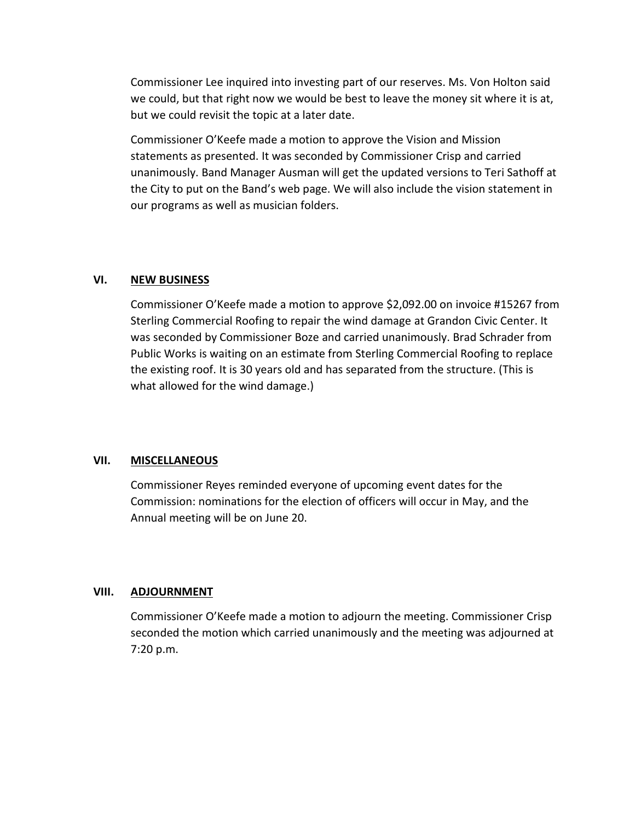Commissioner Lee inquired into investing part of our reserves. Ms. Von Holton said we could, but that right now we would be best to leave the money sit where it is at, but we could revisit the topic at a later date.

Commissioner O'Keefe made a motion to approve the Vision and Mission statements as presented. It was seconded by Commissioner Crisp and carried unanimously. Band Manager Ausman will get the updated versions to Teri Sathoff at the City to put on the Band's web page. We will also include the vision statement in our programs as well as musician folders.

#### **VI. NEW BUSINESS**

Commissioner O'Keefe made a motion to approve \$2,092.00 on invoice #15267 from Sterling Commercial Roofing to repair the wind damage at Grandon Civic Center. It was seconded by Commissioner Boze and carried unanimously. Brad Schrader from Public Works is waiting on an estimate from Sterling Commercial Roofing to replace the existing roof. It is 30 years old and has separated from the structure. (This is what allowed for the wind damage.)

#### **VII. MISCELLANEOUS**

Commissioner Reyes reminded everyone of upcoming event dates for the Commission: nominations for the election of officers will occur in May, and the Annual meeting will be on June 20.

#### **VIII. ADJOURNMENT**

Commissioner O'Keefe made a motion to adjourn the meeting. Commissioner Crisp seconded the motion which carried unanimously and the meeting was adjourned at 7:20 p.m.